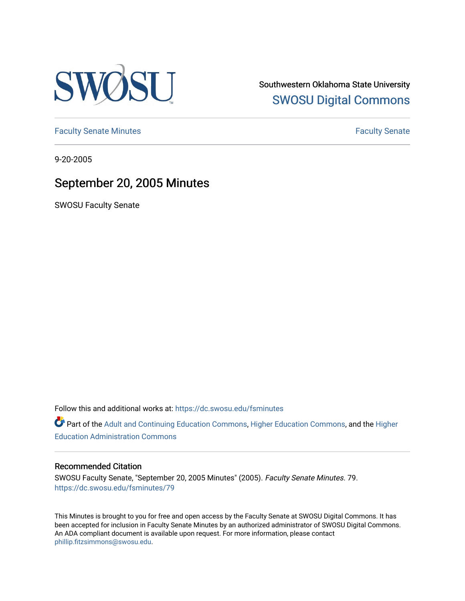

Southwestern Oklahoma State University [SWOSU Digital Commons](https://dc.swosu.edu/) 

[Faculty Senate Minutes](https://dc.swosu.edu/fsminutes) **Faculty** Senate Minutes

9-20-2005

# September 20, 2005 Minutes

SWOSU Faculty Senate

Follow this and additional works at: [https://dc.swosu.edu/fsminutes](https://dc.swosu.edu/fsminutes?utm_source=dc.swosu.edu%2Ffsminutes%2F79&utm_medium=PDF&utm_campaign=PDFCoverPages) 

Part of the [Adult and Continuing Education Commons,](http://network.bepress.com/hgg/discipline/1375?utm_source=dc.swosu.edu%2Ffsminutes%2F79&utm_medium=PDF&utm_campaign=PDFCoverPages) [Higher Education Commons,](http://network.bepress.com/hgg/discipline/1245?utm_source=dc.swosu.edu%2Ffsminutes%2F79&utm_medium=PDF&utm_campaign=PDFCoverPages) and the [Higher](http://network.bepress.com/hgg/discipline/791?utm_source=dc.swosu.edu%2Ffsminutes%2F79&utm_medium=PDF&utm_campaign=PDFCoverPages) [Education Administration Commons](http://network.bepress.com/hgg/discipline/791?utm_source=dc.swosu.edu%2Ffsminutes%2F79&utm_medium=PDF&utm_campaign=PDFCoverPages) 

#### Recommended Citation

SWOSU Faculty Senate, "September 20, 2005 Minutes" (2005). Faculty Senate Minutes. 79. [https://dc.swosu.edu/fsminutes/79](https://dc.swosu.edu/fsminutes/79?utm_source=dc.swosu.edu%2Ffsminutes%2F79&utm_medium=PDF&utm_campaign=PDFCoverPages) 

This Minutes is brought to you for free and open access by the Faculty Senate at SWOSU Digital Commons. It has been accepted for inclusion in Faculty Senate Minutes by an authorized administrator of SWOSU Digital Commons. An ADA compliant document is available upon request. For more information, please contact [phillip.fitzsimmons@swosu.edu](mailto:phillip.fitzsimmons@swosu.edu).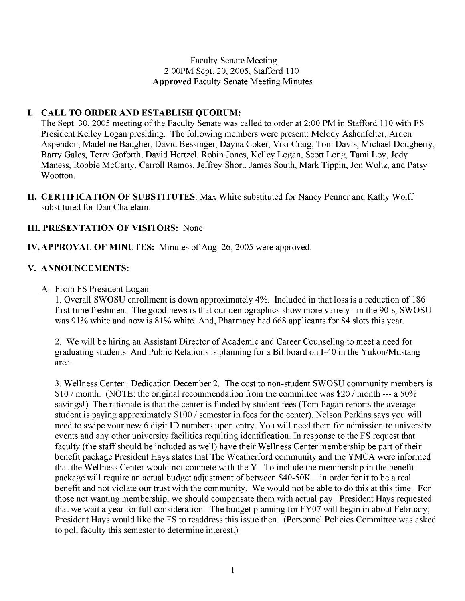Faculty Senate Meeting 2:00PM Sept. 20, 2005, Stafford 110 **Approved** Faculty Senate Meeting Minutes

# **I. CALL TO ORDER AND ESTABLISH QUORUM:**

The Sept. 30, 2005 meeting of the Faculty Senate was called to order at 2:00 PM in Stafford 110 with FS President Kelley Logan presiding. The following members were present: Melody Ashenfelter, Arden Aspendon, Madeline Baugher, David Bessinger, Dayna Coker, Viki Craig, Tom Davis, Michael Dougherty, Barry Gales, Terry Goforth, David Hertzel, Robin Jones, Kelley Logan, Scott Long, Tami Loy, Jody Maness, Robbie McCarty, Carroll Ramos, Jeffrey Short, James South, Mark Tippin, Jon Woltz, and Patsy Wootton.

**II. CERTIFICATION OF SUBSTITUTES**: Max White substituted for Nancy Penner and Kathy Wolff substituted for Dan Chatelain.

# **III. PRESENTATION OF VISITORS:** None

# **IV. APPROVAL OF MINUTES:** Minutes of Aug. 26, 2005 were approved.

# **V. ANNOUNCEMENTS:**

A. From FS President Logan:

1. Overall SWOSU enrollment is down approximately 4%. Included in that loss is a reduction of 186 first-time freshmen. The good news is that our demographics show more variety -in the 90's, SWOSU was 91% white and now is 81% white. And, Pharmacy had 668 applicants for 84 slots this year.

2. We will be hiring an Assistant Director of Academic and Career Counseling to meet a need for graduating students. And Public Relations is planning for a Billboard on I-40 in the Yukon/Mustang area.

3. Wellness Center: Dedication December 2. The cost to non-student SWOSU community members is \$10 / month. (NOTE: the original recommendation from the committee was \$20 / month --- a 50% savings!) The rationale is that the center is funded by student fees (Tom Fagan reports the average student is paying approximately \$100 / semester in fees for the center). Nelson Perkins says you will need to swipe your new 6 digit ID numbers upon entry. You will need them for admission to university events and any other university facilities requiring identification. In response to the FS request that faculty (the staff should be included as well) have their Wellness Center membership be part of their benefit package President Hays states that The Weatherford community and the YMCA were informed that the Wellness Center would not compete with the Y. To include the membership in the benefit package will require an actual budget adjustment of between \$40-50K - in order for it to be a real benefit and not violate our trust with the community. We would not be able to do this at this time. For those not wanting membership, we should compensate them with actual pay. President Hays requested that we wait a year for full consideration. The budget planning for FY07 will begin in about February; President Hays would like the FS to readdress this issue then. (Personnel Policies Committee was asked to poll faculty this semester to determine interest.)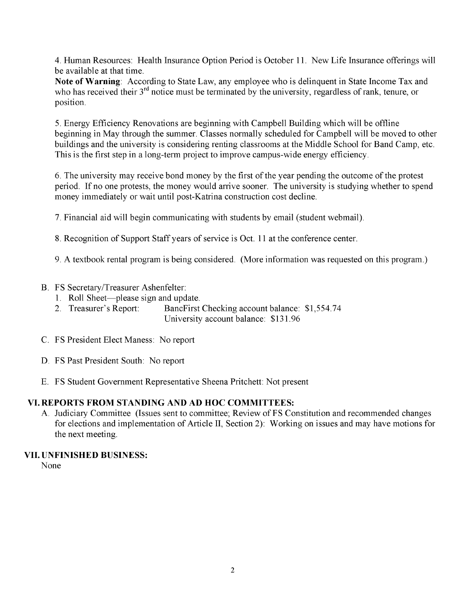4. Human Resources: Health Insurance Option Period is October 11. New Life Insurance offerings will be available at that time.

**Note of Warning**: According to State Law, any employee who is delinquent in State Income Tax and who has received their 3<sup>rd</sup> notice must be terminated by the university, regardless of rank, tenure, or position.

5. Energy Efficiency Renovations are beginning with Campbell Building which will be offline beginning in May through the summer. Classes normally scheduled for Campbell will be moved to other buildings and the university is considering renting classrooms at the Middle School for Band Camp, etc. This is the first step in a long-term project to improve campus-wide energy efficiency.

6. The university may receive bond money by the first of the year pending the outcome of the protest period. If no one protests, the money would arrive sooner. The university is studying whether to spend money immediately or wait until post-Katrina construction cost decline.

7. Financial aid will begin communicating with students by email (student webmail).

8. Recognition of Support Staff years of service is Oct. 11 at the conference center.

9. A textbook rental program is being considered. (More information was requested on this program.)

B. FS Secretary/Treasurer Ashenfelter:

- 1. Roll Sheet—please sign and update.
- 2. Treasurer's Report: BancFirst Checking account balance: \$1,554.74 University account balance: \$131.96
- C. FS President Elect Maness: No report
- D. FS Past President South: No report
- E. FS Student Government Representative Sheena Pritchett: Not present

# **VI. REPORTS FROM STANDING AND AD HOC COMMITTEES:**

A. Judiciary Committee (Issues sent to committee; Review of FS Constitution and recommended changes for elections and implementation of Article II, Section 2): Working on issues and may have motions for the next meeting.

#### **VII. UNFINISHED BUSINESS:**

None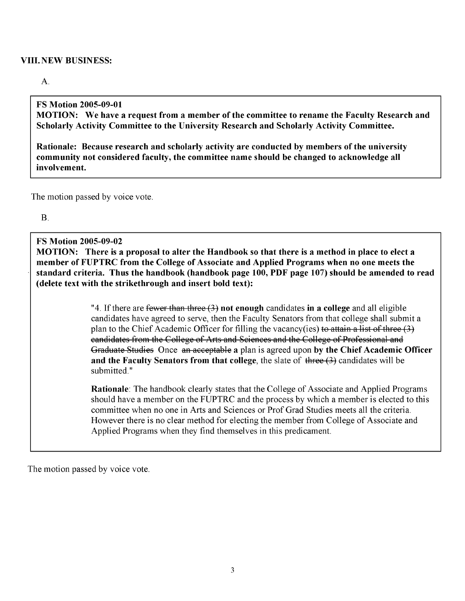#### **VIII. NEW BUSINESS:**

#### A.

#### **FS Motion 2005-09-01**

**MOTION: We have a request from a member of the committee to rename the Faculty Research and Scholarly Activity Committee to the University Research and Scholarly Activity Committee.**

**Rationale: Because research and scholarly activity are conducted by members of the university community not considered faculty, the committee name should be changed to acknowledge all involvement.**

The motion passed by voice vote.

B.

#### **FS Motion 2005-09-02**

**MOTION: There is a proposal to alter the Handbook so that there is a method in place to elect a member of FUPTRC from the College of Associate and Applied Programs when no one meets the standard criteria. Thus the handbook (handbook page 100, PDF page 107) should be amended to read (delete text with the strikethrough and insert bold text):**

> "4. If there are fewer than three (3) **not enough** candidates **in a college** and all eligible candidates have agreed to serve, then the Faculty Senators from that college shall submit a plan to the Chief Academic Officer for filling the vacancy(ies) to attain a list of three (3) candidates from the College of Arts and Sciences and the College of Professional and Graduate Studies Once an acceptable **a** plan is agreed upon **by the Chief Academic Officer and the Faculty Senators from that college**, the slate of three (3) candidates will be submitted."

> **Rationale**: The handbook clearly states that the College of Associate and Applied Programs should have a member on the FUPTRC and the process by which a member is elected to this committee when no one in Arts and Sciences or Prof Grad Studies meets all the criteria. However there is no clear method for electing the member from College of Associate and Applied Programs when they find themselves in this predicament.

The motion passed by voice vote.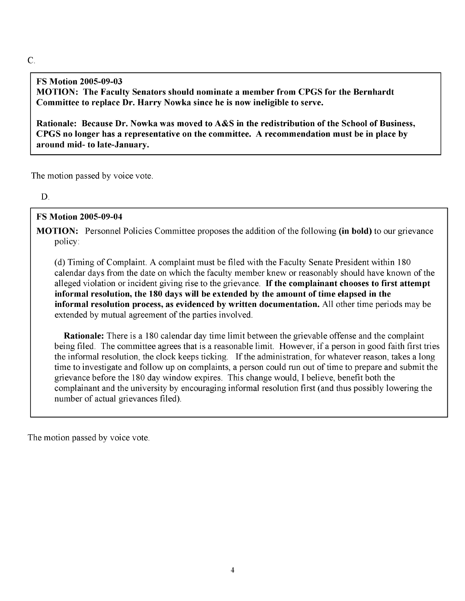#### C.

# **FS Motion 2005-09-03**

**MOTION: The Faculty Senators should nominate a member from CPGS for the Bernhardt Committee to replace Dr. Harry Nowka since he is now ineligible to serve.**

**Rationale: Because Dr. Nowka was moved to A&S in the redistribution of the School of Business, CPGS no longer has a representative on the committee. A recommendation must be in place by around mid- to late-January.**

The motion passed by voice vote.

D.

#### **FS Motion 2005-09-04**

**MOTION:** Personnel Policies Committee proposes the addition of the following **(in bold)** to our grievance policy:

(d) Timing of Complaint. A complaint must be filed with the Faculty Senate President within 180 calendar days from the date on which the faculty member knew or reasonably should have known of the alleged violation or incident giving rise to the grievance. **If the complainant chooses to first attempt informal resolution, the 180 days will be extended by the amount of time elapsed in the informal resolution process, as evidenced by written documentation.** All other time periods may be extended by mutual agreement of the parties involved.

**Rationale:** There is a 180 calendar day time limit between the grievable offense and the complaint being filed. The committee agrees that is a reasonable limit. However, if a person in good faith first tries the informal resolution, the clock keeps ticking. If the administration, for whatever reason, takes a long time to investigate and follow up on complaints, a person could run out of time to prepare and submit the grievance before the 180 day window expires. This change would, I believe, benefit both the complainant and the university by encouraging informal resolution first (and thus possibly lowering the number of actual grievances filed).

The motion passed by voice vote.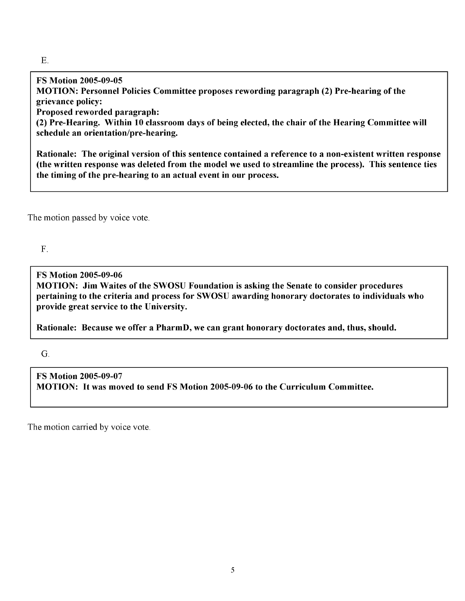**FS Motion 2005-09-05 MOTION: Personnel Policies Committee proposes rewording paragraph (2) Pre-hearing of the grievance policy:**

**Proposed reworded paragraph:**

**(2) Pre-Hearing. Within 10 classroom days of being elected, the chair of the Hearing Committee will schedule an orientation/pre-hearing.**

**Rationale: The original version of this sentence contained a reference to a non-existent written response (the written response was deleted from the model we used to streamline the process). This sentence ties the timing of the pre-hearing to an actual event in our process.**

The motion passed by voice vote.

F.

**FS Motion 2005-09-06 MOTION: Jim Waites of the SWOSU Foundation is asking the Senate to consider procedures pertaining to the criteria and process for SWOSU awarding honorary doctorates to individuals who provide great service to the University.**

**Rationale: Because we offer a PharmD, we can grant honorary doctorates and, thus, should.**

G.

**FS Motion 2005-09-07 MOTION: It was moved to send FS Motion 2005-09-06 to the Curriculum Committee.**

The motion carried by voice vote.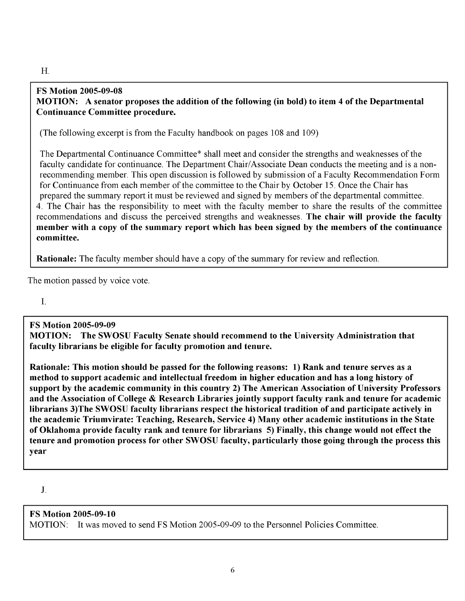#### H.

#### **FS Motion 2005-09-08 MOTION: A senator proposes the addition of the following (in bold) to item 4 of the Departmental Continuance Committee procedure.**

(The following excerpt is from the Faculty handbook on pages 108 and 109)

The Departmental Continuance Committee\* shall meet and consider the strengths and weaknesses of the faculty candidate for continuance. The Department Chair/Associate Dean conducts the meeting and is a nonrecommending member. This open discussion is followed by submission of a Faculty Recommendation Form for Continuance from each member of the committee to the Chair by October 15. Once the Chair has prepared the summary report it must be reviewed and signed by members of the departmental committee. 4. The Chair has the responsibility to meet with the faculty member to share the results of the committee recommendations and discuss the perceived strengths and weaknesses. **The chair will provide the faculty member with a copy of the summary report which has been signed by the members of the continuance committee.**

**Rationale:** The faculty member should have a copy of the summary for review and reflection.

The motion passed by voice vote.

I.

# **FS Motion 2005-09-09**

**MOTION: The SWOSU Faculty Senate should recommend to the University Administration that faculty librarians be eligible for faculty promotion and tenure.**

**Rationale: This motion should be passed for the following reasons: 1) Rank and tenure serves as a method to support academic and intellectual freedom in higher education and has a long history of support by the academic community in this country 2) The American Association of University Professors and the Association of College & Research Libraries jointly support faculty rank and tenure for academic librarians 3)The SWOSU faculty librarians respect the historical tradition of and participate actively in the academic Triumvirate: Teaching, Research, Service 4) Many other academic institutions in the State of Oklahoma provide faculty rank and tenure for librarians 5) Finally, this change would not effect the tenure and promotion process for other SWOSU faculty, particularly those going through the process this year**

J.

# **FS Motion 2005-09-10**

MOTION: It was moved to send FS Motion 2005-09-09 to the Personnel Policies Committee.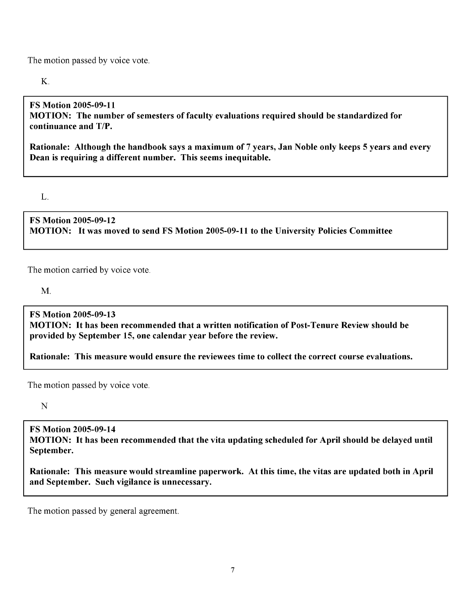The motion passed by voice vote.

K.

# **FS Motion 2005-09-11**

**MOTION: The number of semesters of faculty evaluations required should be standardized for continuance and T/P.**

**Rationale: Although the handbook says a maximum of 7 years, Jan Noble only keeps 5 years and every Dean is requiring a different number. This seems inequitable.**

L.

**FS Motion 2005-09-12 MOTION: It was moved to send FS Motion 2005-09-11 to the University Policies Committee**

The motion carried by voice vote.

M.

**FS Motion 2005-09-13 MOTION: It has been recommended that a written notification of Post-Tenure Review should be provided by September 15, one calendar year before the review.**

**Rationale: This measure would ensure the reviewees time to collect the correct course evaluations.**

The motion passed by voice vote.

N

**FS Motion 2005-09-14 MOTION: It has been recommended that the vita updating scheduled for April should be delayed until September.**

**Rationale: This measure would streamline paperwork. At this time, the vitas are updated both in April and September. Such vigilance is unnecessary.**

The motion passed by general agreement.